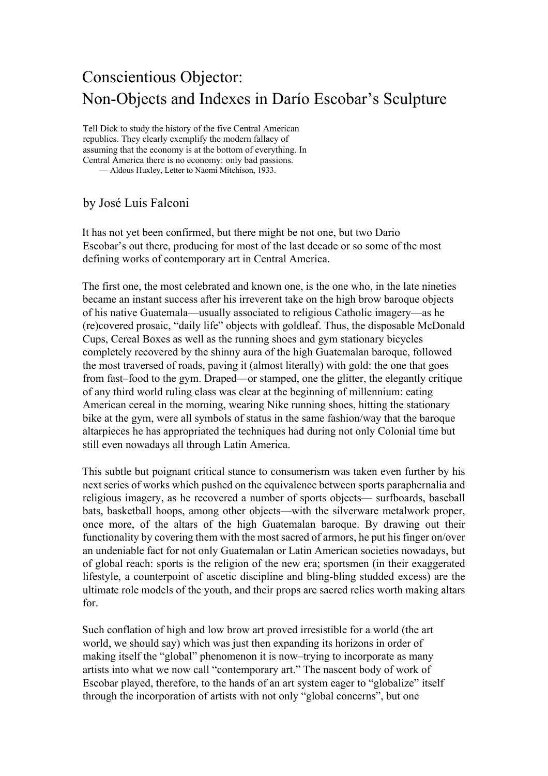## Conscientious Objector: Non-Objects and Indexes in Darío Escobar's Sculpture

Tell Dick to study the history of the five Central American republics. They clearly exemplify the modern fallacy of assuming that the economy is at the bottom of everything. In Central America there is no economy: only bad passions. — Aldous Huxley, Letter to Naomi Mitchison, 1933.

by José Luis Falconi

It has not yet been confirmed, but there might be not one, but two Dario Escobar's out there, producing for most of the last decade or so some of the most defining works of contemporary art in Central America.

The first one, the most celebrated and known one, is the one who, in the late nineties became an instant success after his irreverent take on the high brow baroque objects of his native Guatemala—usually associated to religious Catholic imagery—as he (re)covered prosaic, "daily life" objects with goldleaf. Thus, the disposable McDonald Cups, Cereal Boxes as well as the running shoes and gym stationary bicycles completely recovered by the shinny aura of the high Guatemalan baroque, followed the most traversed of roads, paving it (almost literally) with gold: the one that goes from fast–food to the gym. Draped—or stamped, one the glitter, the elegantly critique of any third world ruling class was clear at the beginning of millennium: eating American cereal in the morning, wearing Nike running shoes, hitting the stationary bike at the gym, were all symbols of status in the same fashion/way that the baroque altarpieces he has appropriated the techniques had during not only Colonial time but still even nowadays all through Latin America.

This subtle but poignant critical stance to consumerism was taken even further by his next series of works which pushed on the equivalence between sports paraphernalia and religious imagery, as he recovered a number of sports objects— surfboards, baseball bats, basketball hoops, among other objects—with the silverware metalwork proper, once more, of the altars of the high Guatemalan baroque. By drawing out their functionality by covering them with the most sacred of armors, he put his finger on/over an undeniable fact for not only Guatemalan or Latin American societies nowadays, but of global reach: sports is the religion of the new era; sportsmen (in their exaggerated lifestyle, a counterpoint of ascetic discipline and bling-bling studded excess) are the ultimate role models of the youth, and their props are sacred relics worth making altars for.

Such conflation of high and low brow art proved irresistible for a world (the art world, we should say) which was just then expanding its horizons in order of making itself the "global" phenomenon it is now–trying to incorporate as many artists into what we now call "contemporary art." The nascent body of work of Escobar played, therefore, to the hands of an art system eager to "globalize" itself through the incorporation of artists with not only "global concerns", but one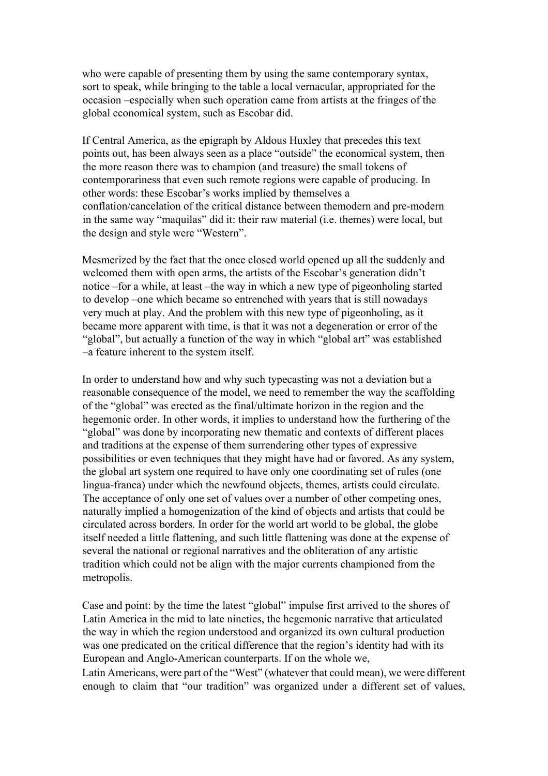who were capable of presenting them by using the same contemporary syntax, sort to speak, while bringing to the table a local vernacular, appropriated for the occasion –especially when such operation came from artists at the fringes of the global economical system, such as Escobar did.

If Central America, as the epigraph by Aldous Huxley that precedes this text points out, has been always seen as a place "outside" the economical system, then the more reason there was to champion (and treasure) the small tokens of contemporariness that even such remote regions were capable of producing. In other words: these Escobar's works implied by themselves a conflation/cancelation of the critical distance between themodern and pre-modern in the same way "maquilas" did it: their raw material (i.e. themes) were local, but the design and style were "Western".

Mesmerized by the fact that the once closed world opened up all the suddenly and welcomed them with open arms, the artists of the Escobar's generation didn't notice –for a while, at least –the way in which a new type of pigeonholing started to develop –one which became so entrenched with years that is still nowadays very much at play. And the problem with this new type of pigeonholing, as it became more apparent with time, is that it was not a degeneration or error of the "global", but actually a function of the way in which "global art" was established –a feature inherent to the system itself.

In order to understand how and why such typecasting was not a deviation but a reasonable consequence of the model, we need to remember the way the scaffolding of the "global" was erected as the final/ultimate horizon in the region and the hegemonic order. In other words, it implies to understand how the furthering of the "global" was done by incorporating new thematic and contexts of different places and traditions at the expense of them surrendering other types of expressive possibilities or even techniques that they might have had or favored. As any system, the global art system one required to have only one coordinating set of rules (one lingua-franca) under which the newfound objects, themes, artists could circulate. The acceptance of only one set of values over a number of other competing ones, naturally implied a homogenization of the kind of objects and artists that could be circulated across borders. In order for the world art world to be global, the globe itself needed a little flattening, and such little flattening was done at the expense of several the national or regional narratives and the obliteration of any artistic tradition which could not be align with the major currents championed from the metropolis.

Case and point: by the time the latest "global" impulse first arrived to the shores of Latin America in the mid to late nineties, the hegemonic narrative that articulated the way in which the region understood and organized its own cultural production was one predicated on the critical difference that the region's identity had with its European and Anglo-American counterparts. If on the whole we,

Latin Americans, were part of the "West" (whatever that could mean), we were different enough to claim that "our tradition" was organized under a different set of values,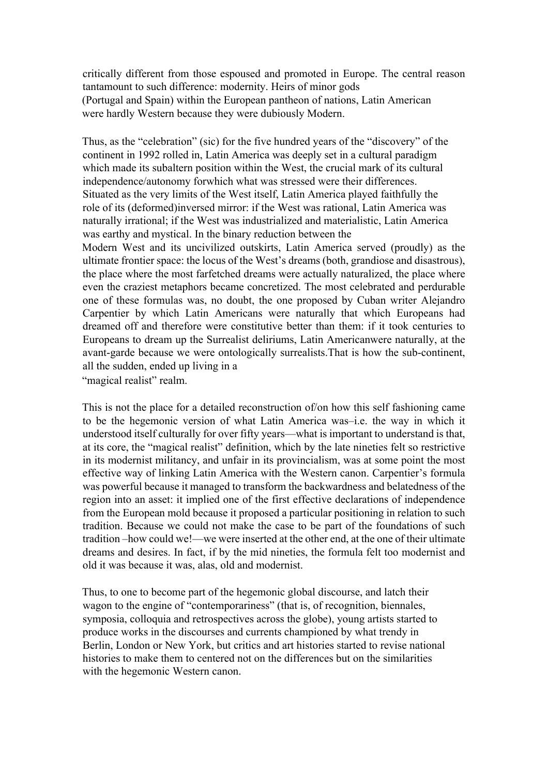critically different from those espoused and promoted in Europe. The central reason tantamount to such difference: modernity. Heirs of minor gods (Portugal and Spain) within the European pantheon of nations, Latin American were hardly Western because they were dubiously Modern.

Thus, as the "celebration" (sic) for the five hundred years of the "discovery" of the continent in 1992 rolled in, Latin America was deeply set in a cultural paradigm which made its subaltern position within the West, the crucial mark of its cultural independence/autonomy forwhich what was stressed were their differences. Situated as the very limits of the West itself, Latin America played faithfully the role of its (deformed)inversed mirror: if the West was rational, Latin America was naturally irrational; if the West was industrialized and materialistic, Latin America was earthy and mystical. In the binary reduction between the Modern West and its uncivilized outskirts, Latin America served (proudly) as the ultimate frontier space: the locus of the West's dreams (both, grandiose and disastrous),

the place where the most farfetched dreams were actually naturalized, the place where even the craziest metaphors became concretized. The most celebrated and perdurable one of these formulas was, no doubt, the one proposed by Cuban writer Alejandro Carpentier by which Latin Americans were naturally that which Europeans had dreamed off and therefore were constitutive better than them: if it took centuries to Europeans to dream up the Surrealist deliriums, Latin Americanwere naturally, at the avant-garde because we were ontologically surrealists.That is how the sub-continent, all the sudden, ended up living in a

"magical realist" realm.

This is not the place for a detailed reconstruction of/on how this self fashioning came to be the hegemonic version of what Latin America was–i.e. the way in which it understood itself culturally for over fifty years—what is important to understand is that, at its core, the "magical realist" definition, which by the late nineties felt so restrictive in its modernist militancy, and unfair in its provincialism, was at some point the most effective way of linking Latin America with the Western canon. Carpentier's formula was powerful because it managed to transform the backwardness and belatedness of the region into an asset: it implied one of the first effective declarations of independence from the European mold because it proposed a particular positioning in relation to such tradition. Because we could not make the case to be part of the foundations of such tradition –how could we!—we were inserted at the other end, at the one of their ultimate dreams and desires. In fact, if by the mid nineties, the formula felt too modernist and old it was because it was, alas, old and modernist.

Thus, to one to become part of the hegemonic global discourse, and latch their wagon to the engine of "contemporariness" (that is, of recognition, biennales, symposia, colloquia and retrospectives across the globe), young artists started to produce works in the discourses and currents championed by what trendy in Berlin, London or New York, but critics and art histories started to revise national histories to make them to centered not on the differences but on the similarities with the hegemonic Western canon.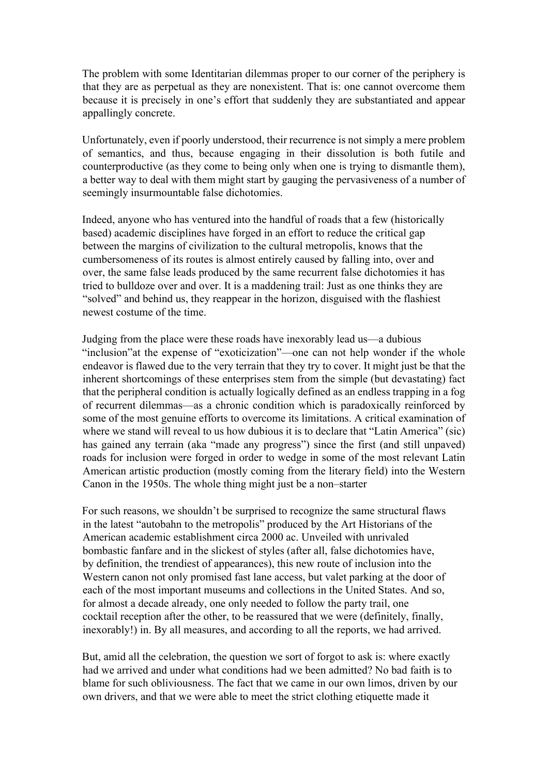The problem with some Identitarian dilemmas proper to our corner of the periphery is that they are as perpetual as they are nonexistent. That is: one cannot overcome them because it is precisely in one's effort that suddenly they are substantiated and appear appallingly concrete.

Unfortunately, even if poorly understood, their recurrence is not simply a mere problem of semantics, and thus, because engaging in their dissolution is both futile and counterproductive (as they come to being only when one is trying to dismantle them), a better way to deal with them might start by gauging the pervasiveness of a number of seemingly insurmountable false dichotomies.

Indeed, anyone who has ventured into the handful of roads that a few (historically based) academic disciplines have forged in an effort to reduce the critical gap between the margins of civilization to the cultural metropolis, knows that the cumbersomeness of its routes is almost entirely caused by falling into, over and over, the same false leads produced by the same recurrent false dichotomies it has tried to bulldoze over and over. It is a maddening trail: Just as one thinks they are "solved" and behind us, they reappear in the horizon, disguised with the flashiest newest costume of the time.

Judging from the place were these roads have inexorably lead us—a dubious "inclusion"at the expense of "exoticization"—one can not help wonder if the whole endeavor is flawed due to the very terrain that they try to cover. It might just be that the inherent shortcomings of these enterprises stem from the simple (but devastating) fact that the peripheral condition is actually logically defined as an endless trapping in a fog of recurrent dilemmas—as a chronic condition which is paradoxically reinforced by some of the most genuine efforts to overcome its limitations. A critical examination of where we stand will reveal to us how dubious it is to declare that "Latin America" (sic) has gained any terrain (aka "made any progress") since the first (and still unpaved) roads for inclusion were forged in order to wedge in some of the most relevant Latin American artistic production (mostly coming from the literary field) into the Western Canon in the 1950s. The whole thing might just be a non–starter

For such reasons, we shouldn't be surprised to recognize the same structural flaws in the latest "autobahn to the metropolis" produced by the Art Historians of the American academic establishment circa 2000 ac. Unveiled with unrivaled bombastic fanfare and in the slickest of styles (after all, false dichotomies have, by definition, the trendiest of appearances), this new route of inclusion into the Western canon not only promised fast lane access, but valet parking at the door of each of the most important museums and collections in the United States. And so, for almost a decade already, one only needed to follow the party trail, one cocktail reception after the other, to be reassured that we were (definitely, finally, inexorably!) in. By all measures, and according to all the reports, we had arrived.

But, amid all the celebration, the question we sort of forgot to ask is: where exactly had we arrived and under what conditions had we been admitted? No bad faith is to blame for such obliviousness. The fact that we came in our own limos, driven by our own drivers, and that we were able to meet the strict clothing etiquette made it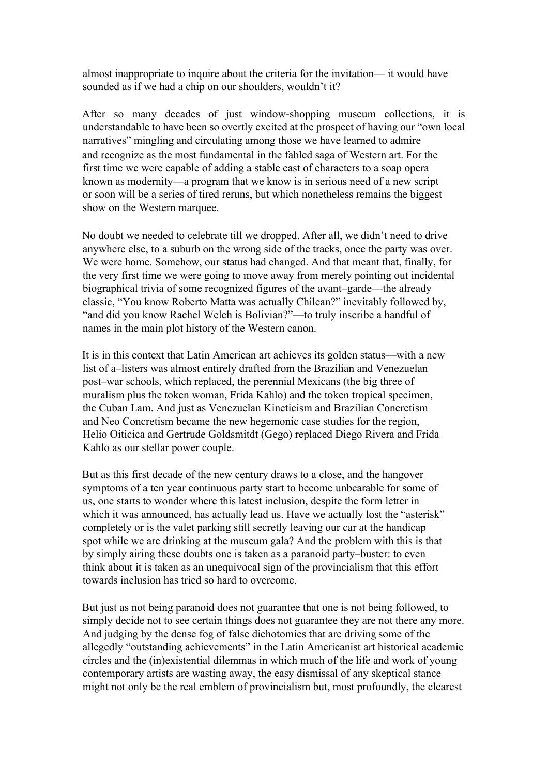almost inappropriate to inquire about the criteria for the invitation— it would have sounded as if we had a chip on our shoulders, wouldn't it?

After so many decades of just window-shopping museum collections, it is understandable to have been so overtly excited at the prospect of having our "own local narratives" mingling and circulating among those we have learned to admire and recognize as the most fundamental in the fabled saga of Western art. For the first time we were capable of adding a stable cast of characters to a soap opera known as modernity—a program that we know is in serious need of a new script or soon will be a series of tired reruns, but which nonetheless remains the biggest show on the Western marquee.

No doubt we needed to celebrate till we dropped. After all, we didn't need to drive anywhere else, to a suburb on the wrong side of the tracks, once the party was over. We were home. Somehow, our status had changed. And that meant that, finally, for the very first time we were going to move away from merely pointing out incidental biographical trivia of some recognized figures of the avant–garde—the already classic, "You know Roberto Matta was actually Chilean?" inevitably followed by, "and did you know Rachel Welch is Bolivian?"—to truly inscribe a handful of names in the main plot history of the Western canon.

It is in this context that Latin American art achieves its golden status—with a new list of a–listers was almost entirely drafted from the Brazilian and Venezuelan post–war schools, which replaced, the perennial Mexicans (the big three of muralism plus the token woman, Frida Kahlo) and the token tropical specimen, the Cuban Lam. And just as Venezuelan Kineticism and Brazilian Concretism and Neo Concretism became the new hegemonic case studies for the region, Helio Oiticica and Gertrude Goldsmitdt (Gego) replaced Diego Rivera and Frida Kahlo as our stellar power couple.

But as this first decade of the new century draws to a close, and the hangover symptoms of a ten year continuous party start to become unbearable for some of us, one starts to wonder where this latest inclusion, despite the form letter in which it was announced, has actually lead us. Have we actually lost the "asterisk" completely or is the valet parking still secretly leaving our car at the handicap spot while we are drinking at the museum gala? And the problem with this is that by simply airing these doubts one is taken as a paranoid party–buster: to even think about it is taken as an unequivocal sign of the provincialism that this effort towards inclusion has tried so hard to overcome.

But just as not being paranoid does not guarantee that one is not being followed, to simply decide not to see certain things does not guarantee they are not there any more. And judging by the dense fog of false dichotomies that are driving some of the allegedly "outstanding achievements" in the Latin Americanist art historical academic circles and the (in)existential dilemmas in which much of the life and work of young contemporary artists are wasting away, the easy dismissal of any skeptical stance might not only be the real emblem of provincialism but, most profoundly, the clearest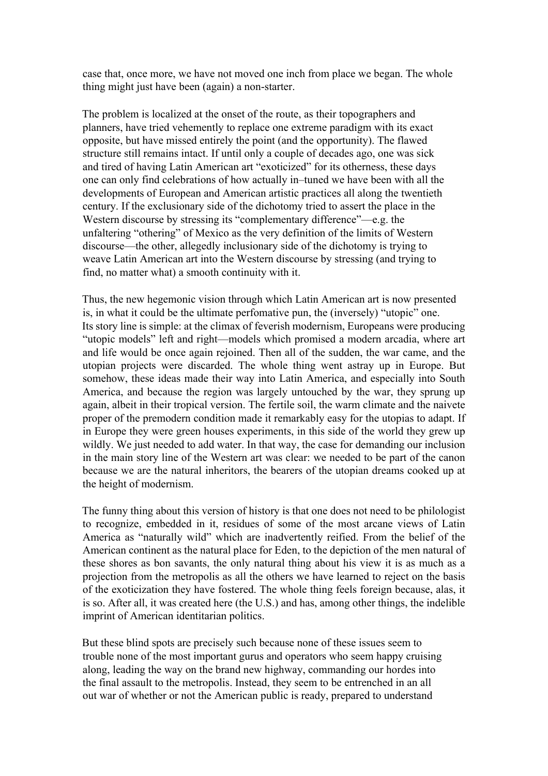case that, once more, we have not moved one inch from place we began. The whole thing might just have been (again) a non-starter.

The problem is localized at the onset of the route, as their topographers and planners, have tried vehemently to replace one extreme paradigm with its exact opposite, but have missed entirely the point (and the opportunity). The flawed structure still remains intact. If until only a couple of decades ago, one was sick and tired of having Latin American art "exoticized" for its otherness, these days one can only find celebrations of how actually in–tuned we have been with all the developments of European and American artistic practices all along the twentieth century. If the exclusionary side of the dichotomy tried to assert the place in the Western discourse by stressing its "complementary difference"—e.g. the unfaltering "othering" of Mexico as the very definition of the limits of Western discourse—the other, allegedly inclusionary side of the dichotomy is trying to weave Latin American art into the Western discourse by stressing (and trying to find, no matter what) a smooth continuity with it.

Thus, the new hegemonic vision through which Latin American art is now presented is, in what it could be the ultimate perfomative pun, the (inversely) "utopic" one. Its story line is simple: at the climax of feverish modernism, Europeans were producing "utopic models" left and right—models which promised a modern arcadia, where art and life would be once again rejoined. Then all of the sudden, the war came, and the utopian projects were discarded. The whole thing went astray up in Europe. But somehow, these ideas made their way into Latin America, and especially into South America, and because the region was largely untouched by the war, they sprung up again, albeit in their tropical version. The fertile soil, the warm climate and the naivete proper of the premodern condition made it remarkably easy for the utopias to adapt. If in Europe they were green houses experiments, in this side of the world they grew up wildly. We just needed to add water. In that way, the case for demanding our inclusion in the main story line of the Western art was clear: we needed to be part of the canon because we are the natural inheritors, the bearers of the utopian dreams cooked up at the height of modernism.

The funny thing about this version of history is that one does not need to be philologist to recognize, embedded in it, residues of some of the most arcane views of Latin America as "naturally wild" which are inadvertently reified. From the belief of the American continent as the natural place for Eden, to the depiction of the men natural of these shores as bon savants, the only natural thing about his view it is as much as a projection from the metropolis as all the others we have learned to reject on the basis of the exoticization they have fostered. The whole thing feels foreign because, alas, it is so. After all, it was created here (the U.S.) and has, among other things, the indelible imprint of American identitarian politics.

But these blind spots are precisely such because none of these issues seem to trouble none of the most important gurus and operators who seem happy cruising along, leading the way on the brand new highway, commanding our hordes into the final assault to the metropolis. Instead, they seem to be entrenched in an all out war of whether or not the American public is ready, prepared to understand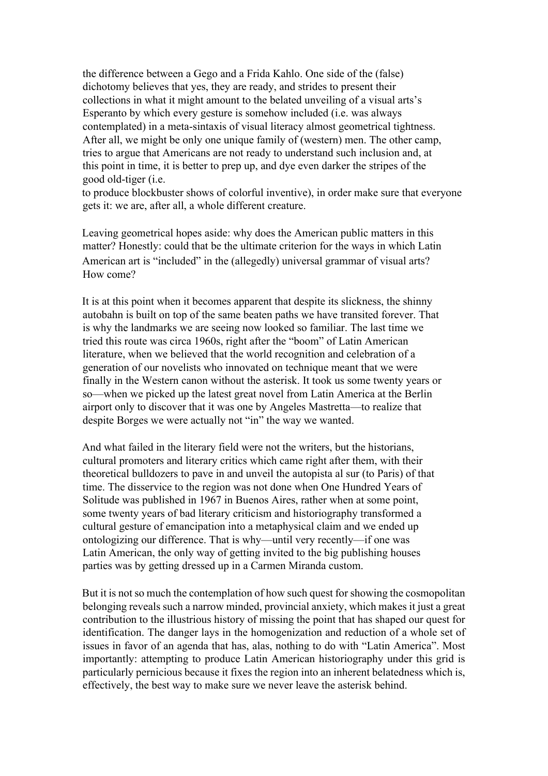the difference between a Gego and a Frida Kahlo. One side of the (false) dichotomy believes that yes, they are ready, and strides to present their collections in what it might amount to the belated unveiling of a visual arts's Esperanto by which every gesture is somehow included (i.e. was always contemplated) in a meta-sintaxis of visual literacy almost geometrical tightness. After all, we might be only one unique family of (western) men. The other camp, tries to argue that Americans are not ready to understand such inclusion and, at this point in time, it is better to prep up, and dye even darker the stripes of the good old-tiger (i.e.

to produce blockbuster shows of colorful inventive), in order make sure that everyone gets it: we are, after all, a whole different creature.

Leaving geometrical hopes aside: why does the American public matters in this matter? Honestly: could that be the ultimate criterion for the ways in which Latin American art is "included" in the (allegedly) universal grammar of visual arts? How come?

It is at this point when it becomes apparent that despite its slickness, the shinny autobahn is built on top of the same beaten paths we have transited forever. That is why the landmarks we are seeing now looked so familiar. The last time we tried this route was circa 1960s, right after the "boom" of Latin American literature, when we believed that the world recognition and celebration of a generation of our novelists who innovated on technique meant that we were finally in the Western canon without the asterisk. It took us some twenty years or so—when we picked up the latest great novel from Latin America at the Berlin airport only to discover that it was one by Angeles Mastretta—to realize that despite Borges we were actually not "in" the way we wanted.

And what failed in the literary field were not the writers, but the historians, cultural promoters and literary critics which came right after them, with their theoretical bulldozers to pave in and unveil the autopista al sur (to Paris) of that time. The disservice to the region was not done when One Hundred Years of Solitude was published in 1967 in Buenos Aires, rather when at some point, some twenty years of bad literary criticism and historiography transformed a cultural gesture of emancipation into a metaphysical claim and we ended up ontologizing our difference. That is why—until very recently—if one was Latin American, the only way of getting invited to the big publishing houses parties was by getting dressed up in a Carmen Miranda custom.

But it is not so much the contemplation of how such quest for showing the cosmopolitan belonging reveals such a narrow minded, provincial anxiety, which makes it just a great contribution to the illustrious history of missing the point that has shaped our quest for identification. The danger lays in the homogenization and reduction of a whole set of issues in favor of an agenda that has, alas, nothing to do with "Latin America". Most importantly: attempting to produce Latin American historiography under this grid is particularly pernicious because it fixes the region into an inherent belatedness which is, effectively, the best way to make sure we never leave the asterisk behind.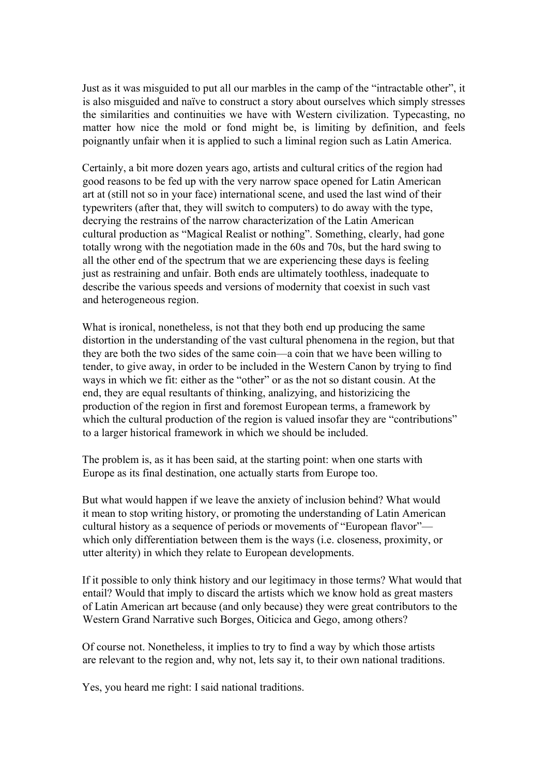Just as it was misguided to put all our marbles in the camp of the "intractable other", it is also misguided and naïve to construct a story about ourselves which simply stresses the similarities and continuities we have with Western civilization. Typecasting, no matter how nice the mold or fond might be, is limiting by definition, and feels poignantly unfair when it is applied to such a liminal region such as Latin America.

Certainly, a bit more dozen years ago, artists and cultural critics of the region had good reasons to be fed up with the very narrow space opened for Latin American art at (still not so in your face) international scene, and used the last wind of their typewriters (after that, they will switch to computers) to do away with the type, decrying the restrains of the narrow characterization of the Latin American cultural production as "Magical Realist or nothing". Something, clearly, had gone totally wrong with the negotiation made in the 60s and 70s, but the hard swing to all the other end of the spectrum that we are experiencing these days is feeling just as restraining and unfair. Both ends are ultimately toothless, inadequate to describe the various speeds and versions of modernity that coexist in such vast and heterogeneous region.

What is ironical, nonetheless, is not that they both end up producing the same distortion in the understanding of the vast cultural phenomena in the region, but that they are both the two sides of the same coin—a coin that we have been willing to tender, to give away, in order to be included in the Western Canon by trying to find ways in which we fit: either as the "other" or as the not so distant cousin. At the end, they are equal resultants of thinking, analizying, and historizicing the production of the region in first and foremost European terms, a framework by which the cultural production of the region is valued insofar they are "contributions" to a larger historical framework in which we should be included.

The problem is, as it has been said, at the starting point: when one starts with Europe as its final destination, one actually starts from Europe too.

But what would happen if we leave the anxiety of inclusion behind? What would it mean to stop writing history, or promoting the understanding of Latin American cultural history as a sequence of periods or movements of "European flavor" which only differentiation between them is the ways (i.e. closeness, proximity, or utter alterity) in which they relate to European developments.

If it possible to only think history and our legitimacy in those terms? What would that entail? Would that imply to discard the artists which we know hold as great masters of Latin American art because (and only because) they were great contributors to the Western Grand Narrative such Borges, Oiticica and Gego, among others?

Of course not. Nonetheless, it implies to try to find a way by which those artists are relevant to the region and, why not, lets say it, to their own national traditions.

Yes, you heard me right: I said national traditions.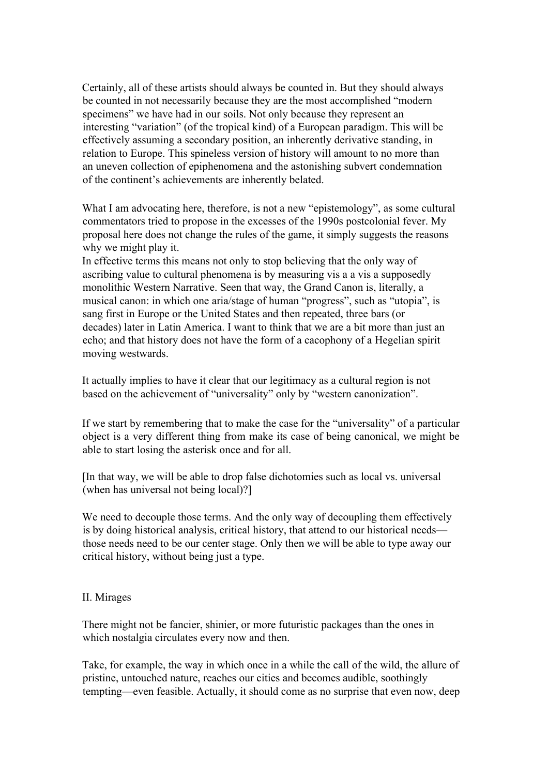Certainly, all of these artists should always be counted in. But they should always be counted in not necessarily because they are the most accomplished "modern specimens" we have had in our soils. Not only because they represent an interesting "variation" (of the tropical kind) of a European paradigm. This will be effectively assuming a secondary position, an inherently derivative standing, in relation to Europe. This spineless version of history will amount to no more than an uneven collection of epiphenomena and the astonishing subvert condemnation of the continent's achievements are inherently belated.

What I am advocating here, therefore, is not a new "epistemology", as some cultural commentators tried to propose in the excesses of the 1990s postcolonial fever. My proposal here does not change the rules of the game, it simply suggests the reasons why we might play it.

In effective terms this means not only to stop believing that the only way of ascribing value to cultural phenomena is by measuring vis a a vis a supposedly monolithic Western Narrative. Seen that way, the Grand Canon is, literally, a musical canon: in which one aria/stage of human "progress", such as "utopia", is sang first in Europe or the United States and then repeated, three bars (or decades) later in Latin America. I want to think that we are a bit more than just an echo; and that history does not have the form of a cacophony of a Hegelian spirit moving westwards.

It actually implies to have it clear that our legitimacy as a cultural region is not based on the achievement of "universality" only by "western canonization".

If we start by remembering that to make the case for the "universality" of a particular object is a very different thing from make its case of being canonical, we might be able to start losing the asterisk once and for all.

[In that way, we will be able to drop false dichotomies such as local vs. universal (when has universal not being local)?]

We need to decouple those terms. And the only way of decoupling them effectively is by doing historical analysis, critical history, that attend to our historical needs those needs need to be our center stage. Only then we will be able to type away our critical history, without being just a type.

## II. Mirages

There might not be fancier, shinier, or more futuristic packages than the ones in which nostalgia circulates every now and then.

Take, for example, the way in which once in a while the call of the wild, the allure of pristine, untouched nature, reaches our cities and becomes audible, soothingly tempting—even feasible. Actually, it should come as no surprise that even now, deep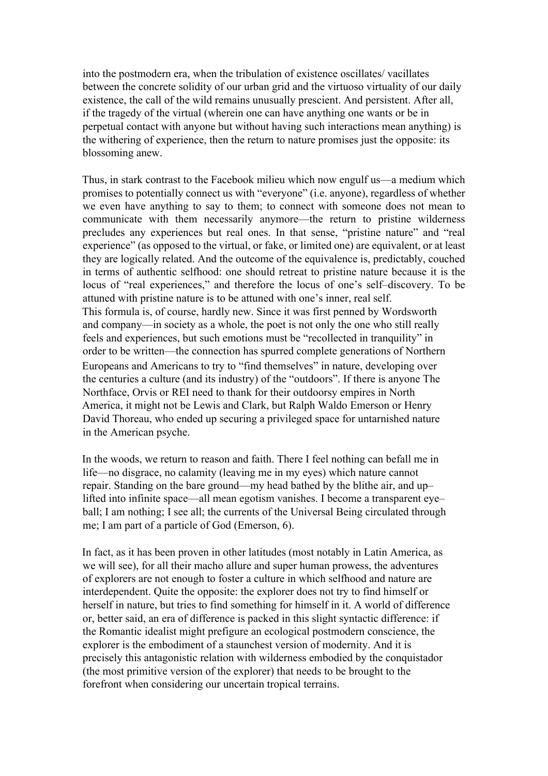into the postmodern era, when the tribulation of existence oscillates/ vacillates between the concrete solidity of our urban grid and the virtuoso virtuality of our daily existence, the call of the wild remains unusually prescient. And persistent. After all, if the tragedy of the virtual (wherein one can have anything one wants or be in perpetual contact with anyone but without having such interactions mean anything) is the withering of experience, then the return to nature promises just the opposite: its blossoming anew.

Thus, in stark contrast to the Facebook milieu which now engulf us—a medium which promises to potentially connect us with "everyone" (i.e. anyone), regardless of whether we even have anything to say to them; to connect with someone does not mean to communicate with them necessarily anymore—the return to pristine wilderness precludes any experiences but real ones. In that sense, "pristine nature" and "real experience" (as opposed to the virtual, or fake, or limited one) are equivalent, or at least they are logically related. And the outcome of the equivalence is, predictably, couched in terms of authentic selfhood: one should retreat to pristine nature because it is the locus of "real experiences," and therefore the locus of one's self–discovery. To be attuned with pristine nature is to be attuned with one's inner, real self. This formula is, of course, hardly new. Since it was first penned by Wordsworth and company—in society as a whole, the poet is not only the one who still really feels and experiences, but such emotions must be "recollected in tranquility" in order to be written—the connection has spurred complete generations of Northern Europeans and Americans to try to "find themselves" in nature, developing over the centuries a culture (and its industry) of the "outdoors". If there is anyone The Northface, Orvis or REI need to thank for their outdoorsy empires in North America, it might not be Lewis and Clark, but Ralph Waldo Emerson or Henry David Thoreau, who ended up securing a privileged space for untarnished nature in the American psyche.

In the woods, we return to reason and faith. There I feel nothing can befall me in life—no disgrace, no calamity (leaving me in my eyes) which nature cannot repair. Standing on the bare ground—my head bathed by the blithe air, and up– lifted into infinite space—all mean egotism vanishes. I become a transparent eye– ball; I am nothing; I see all; the currents of the Universal Being circulated through me; I am part of a particle of God (Emerson, 6).

In fact, as it has been proven in other latitudes (most notably in Latin America, as we will see), for all their macho allure and super human prowess, the adventures of explorers are not enough to foster a culture in which selfhood and nature are interdependent. Quite the opposite: the explorer does not try to find himself or herself in nature, but tries to find something for himself in it. A world of difference or, better said, an era of difference is packed in this slight syntactic difference: if the Romantic idealist might prefigure an ecological postmodern conscience, the explorer is the embodiment of a staunchest version of modernity. And it is precisely this antagonistic relation with wilderness embodied by the conquistador (the most primitive version of the explorer) that needs to be brought to the forefront when considering our uncertain tropical terrains.